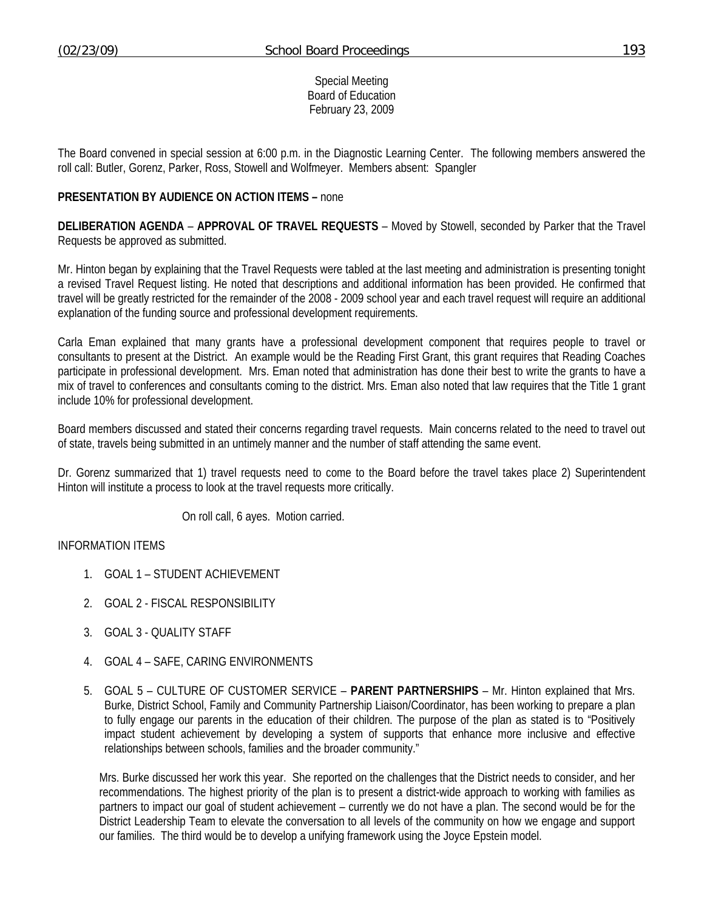Special Meeting Board of Education February 23, 2009

The Board convened in special session at 6:00 p.m. in the Diagnostic Learning Center. The following members answered the roll call: Butler, Gorenz, Parker, Ross, Stowell and Wolfmeyer. Members absent: Spangler

## **PRESENTATION BY AUDIENCE ON ACTION ITEMS –** none

**DELIBERATION AGENDA** – **APPROVAL OF TRAVEL REQUESTS** – Moved by Stowell, seconded by Parker that the Travel Requests be approved as submitted.

Mr. Hinton began by explaining that the Travel Requests were tabled at the last meeting and administration is presenting tonight a revised Travel Request listing. He noted that descriptions and additional information has been provided. He confirmed that travel will be greatly restricted for the remainder of the 2008 - 2009 school year and each travel request will require an additional explanation of the funding source and professional development requirements.

Carla Eman explained that many grants have a professional development component that requires people to travel or consultants to present at the District. An example would be the Reading First Grant, this grant requires that Reading Coaches participate in professional development. Mrs. Eman noted that administration has done their best to write the grants to have a mix of travel to conferences and consultants coming to the district. Mrs. Eman also noted that law requires that the Title 1 grant include 10% for professional development.

Board members discussed and stated their concerns regarding travel requests. Main concerns related to the need to travel out of state, travels being submitted in an untimely manner and the number of staff attending the same event.

Dr. Gorenz summarized that 1) travel requests need to come to the Board before the travel takes place 2) Superintendent Hinton will institute a process to look at the travel requests more critically.

On roll call, 6 ayes. Motion carried.

INFORMATION ITEMS

- 1. GOAL 1 STUDENT ACHIEVEMENT
- 2. GOAL 2 FISCAL RESPONSIBILITY
- 3. GOAL 3 QUALITY STAFF
- 4. GOAL 4 SAFE, CARING ENVIRONMENTS
- 5. GOAL 5 CULTURE OF CUSTOMER SERVICE **PARENT PARTNERSHIPS** Mr. Hinton explained that Mrs. Burke, District School, Family and Community Partnership Liaison/Coordinator, has been working to prepare a plan to fully engage our parents in the education of their children. The purpose of the plan as stated is to "Positively impact student achievement by developing a system of supports that enhance more inclusive and effective relationships between schools, families and the broader community."

Mrs. Burke discussed her work this year. She reported on the challenges that the District needs to consider, and her recommendations. The highest priority of the plan is to present a district-wide approach to working with families as partners to impact our goal of student achievement – currently we do not have a plan. The second would be for the District Leadership Team to elevate the conversation to all levels of the community on how we engage and support our families. The third would be to develop a unifying framework using the Joyce Epstein model.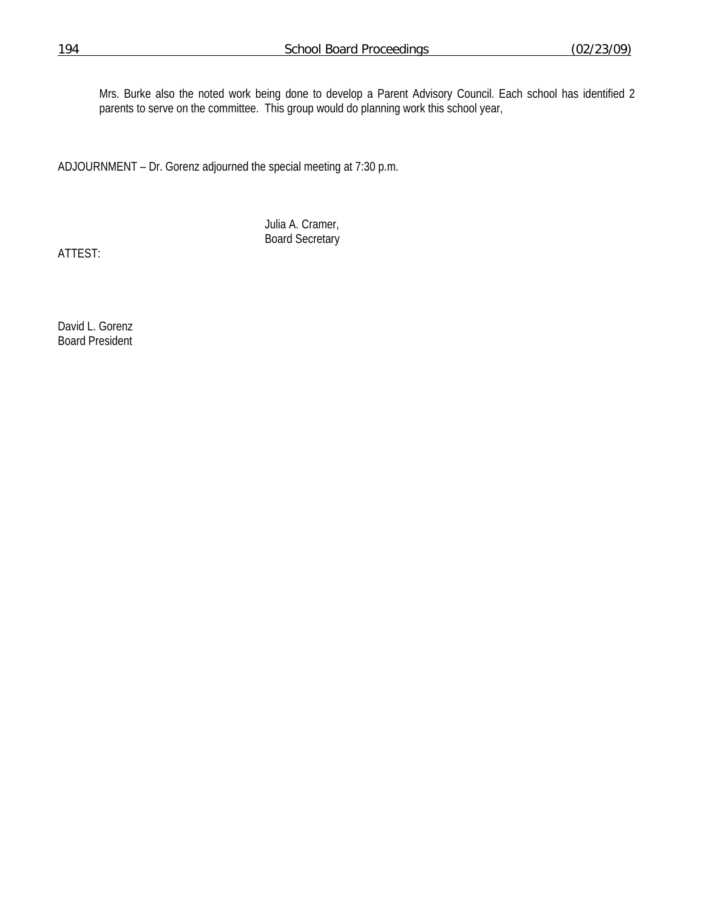Mrs. Burke also the noted work being done to develop a Parent Advisory Council. Each school has identified 2 parents to serve on the committee. This group would do planning work this school year,

ADJOURNMENT – Dr. Gorenz adjourned the special meeting at 7:30 p.m.

 Julia A. Cramer, Board Secretary

ATTEST:

David L. Gorenz Board President